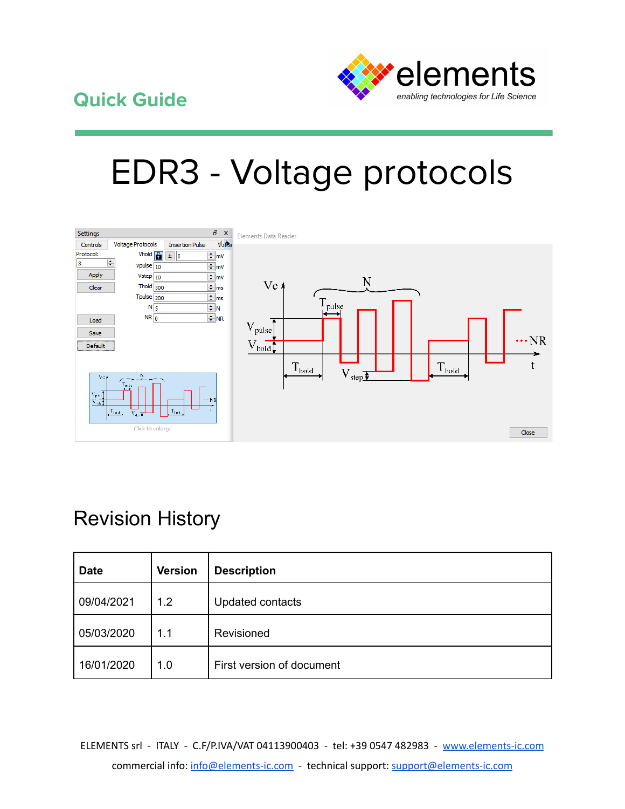

# EDR3 - Voltage protocols



## Revision History

| <b>Date</b> | <b>Version</b> | <b>Description</b>        |
|-------------|----------------|---------------------------|
| 09/04/2021  | 1.2            | Updated contacts          |
| 05/03/2020  | 1.1            | Revisioned                |
| 16/01/2020  | 1.0            | First version of document |

ELEMENTS srl - ITALY - C.F/P.IVA/VAT 04113900403 - tel: +39 0547 482983 - [www.elements-ic.com](http://www.elements-ic.com) commercial info: [info@elements-ic.com](mailto:info@elements-ic.com) - technical support: [support@elements-ic.com](mailto:support@elements-ic.com)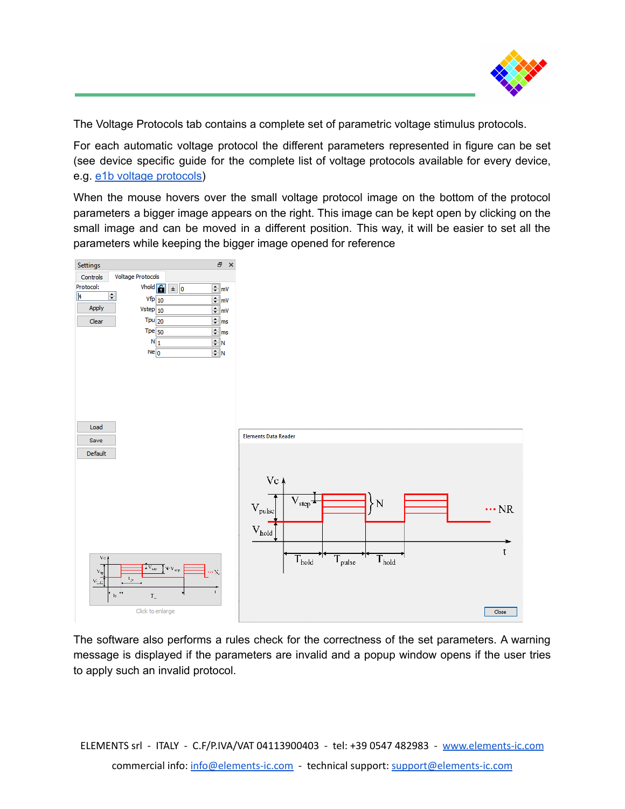

The Voltage Protocols tab contains a complete set of parametric voltage stimulus protocols.

For each automatic voltage protocol the different parameters represented in figure can be set (see device specific guide for the complete list of voltage protocols available for every device, e.g. e1b voltage [protocols\)](https://elements-ic.com/wp-content/uploads/2019/12/Voltage-Protocols-e1b.pdf)

When the mouse hovers over the small voltage protocol image on the bottom of the protocol parameters a bigger image appears on the right. This image can be kept open by clicking on the small image and can be moved in a different position. This way, it will be easier to set all the parameters while keeping the bigger image opened for reference



The software also performs a rules check for the correctness of the set parameters. A warning message is displayed if the parameters are invalid and a popup window opens if the user tries to apply such an invalid protocol.